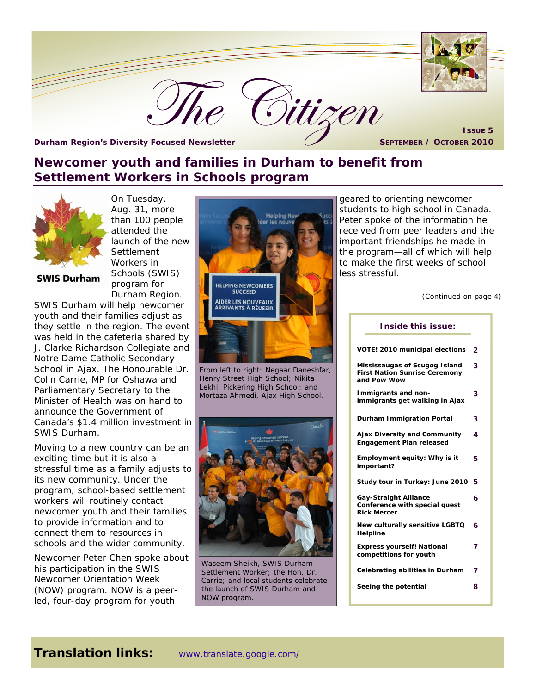

#### **Newcomer youth and families in Durham to benefit from Settlement Workers in Schools program**



**SWIS Durham** 

On Tuesday, Aug. 31, more than 100 people attended the launch of the new **Settlement** Workers in Schools (SWIS) program for Durham Region.

SWIS Durham will help newcomer youth and their families adjust as they settle in the region. The event was held in the cafeteria shared by J. Clarke Richardson Collegiate and Notre Dame Catholic Secondary School in Ajax. The Honourable Dr. Colin Carrie, MP for Oshawa and Parliamentary Secretary to the Minister of Health was on hand to announce the Government of Canada's \$1.4 million investment in SWIS Durham.

Moving to a new country can be an exciting time but it is also a stressful time as a family adjusts to its new community. Under the program, school-based settlement workers will routinely contact newcomer youth and their families to provide information and to connect them to resources in schools and the wider community.

Newcomer Peter Chen spoke about his participation in the SWIS Newcomer Orientation Week (NOW) program. NOW is a peerled, four-day program for youth



From left to right: Negaar Daneshfar, Henry Street High School; Nikita Lekhi, Pickering High School; and Mortaza Ahmedi, Ajax High School.



Waseem Sheikh, SWIS Durham Settlement Worker; the Hon. Dr. Carrie; and local students celebrate the launch of SWIS Durham and NOW program.

geared to orienting newcomer students to high school in Canada. Peter spoke of the information he received from peer leaders and the important friendships he made in the program—all of which will help to make the first weeks of school less stressful.

*(Continued on page 4)* 

| Inside this issue:                                                                   |   |
|--------------------------------------------------------------------------------------|---|
| VOTE! 2010 municipal elections                                                       | 2 |
| Mississaugas of Scugog Island<br><b>First Nation Sunrise Ceremony</b><br>and Pow Wow | 3 |
| Immigrants and non-<br>immigrants get walking in Ajax                                | 3 |
| <b>Durham Immigration Portal</b>                                                     | 3 |
| <b>Ajax Diversity and Community</b><br><b>Engagement Plan released</b>               | 4 |
| Employment equity: Why is it<br>important?                                           | 5 |
| Study tour in Turkey: June 2010                                                      | 5 |
| <b>Gay-Straight Alliance</b><br>Conference with special guest<br><b>Rick Mercer</b>  | 6 |
| New culturally sensitive LGBTQ<br>Helpline                                           | 6 |
| <b>Express yourself! National</b><br>competitions for youth                          | 7 |
| Celebrating abilities in Durham                                                      | 7 |
| Seeing the potential                                                                 | 8 |
|                                                                                      |   |

#### **Translation links:** www.translate.google.com/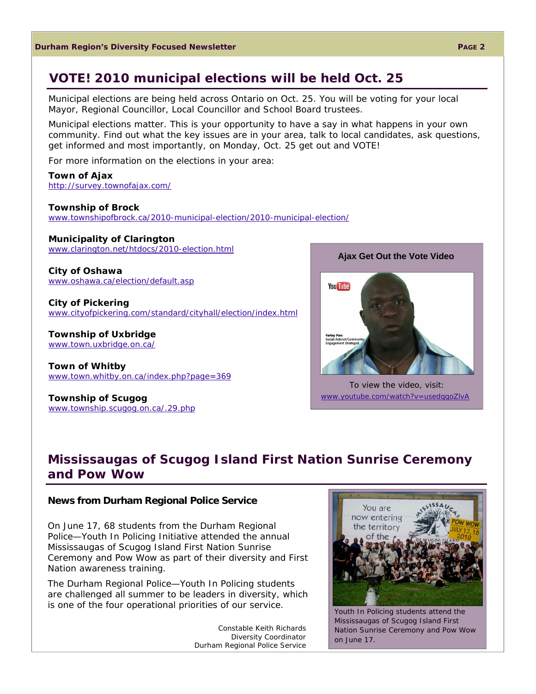#### **VOTE! 2010 municipal elections will be held Oct. 25**

Municipal elections are being held across Ontario on Oct. 25. You will be voting for your local Mayor, Regional Councillor, Local Councillor and School Board trustees.

Municipal elections matter. This is your opportunity to have a say in what happens in your own community. Find out what the key issues are in your area, talk to local candidates, ask questions, get informed and most importantly, on Monday, Oct. 25 get out and VOTE!

For more information on the elections in your area:

**Town of Ajax**  http://survey.townofajax.com/

**Township of Brock**  www.townshipofbrock.ca/2010-municipal-election/2010-municipal-election/

**Municipality of Clarington**  www.clarington.net/htdocs/2010-election.html

**City of Oshawa**  www.oshawa.ca/election/default.asp

**City of Pickering**  www.cityofpickering.com/standard/cityhall/election/index.html

**Township of Uxbridge**  www.town.uxbridge.on.ca/

**Town of Whitby**  www.town.whitby.on.ca/index.php?page=369

**Township of Scugog**  www.township.scugog.on.ca/.29.php **You Tube** 

**Ajax Get Out the Vote Video** 

To view the video, visit: www.youtube.com/watch?v=usedqqoZlvA

#### **Mississaugas of Scugog Island First Nation Sunrise Ceremony and Pow Wow**

#### **News from Durham Regional Police Service**

On June 17, 68 students from the Durham Regional Police—Youth In Policing Initiative attended the annual Mississaugas of Scugog Island First Nation Sunrise Ceremony and Pow Wow as part of their diversity and First Nation awareness training.

The Durham Regional Police—Youth In Policing students are challenged all summer to be leaders in diversity, which is one of the four operational priorities of our service.

> *Constable Keith Richards Diversity Coordinator Durham Regional Police Service*



Youth In Policing students attend the Mississaugas of Scugog Island First Nation Sunrise Ceremony and Pow Wow on June 17.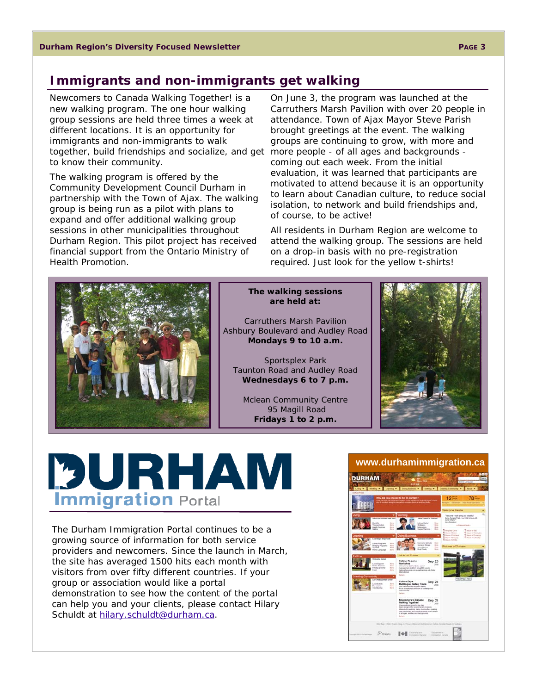#### **Immigrants and non-immigrants get walking**

Newcomers to Canada Walking Together! is a new walking program. The one hour walking group sessions are held three times a week at different locations. It is an opportunity for immigrants and non-immigrants to walk together, build friendships and socialize, and get more people - of all ages and backgrounds to know their community.

The walking program is offered by the Community Development Council Durham in partnership with the Town of Ajax. The walking group is being run as a pilot with plans to expand and offer additional walking group sessions in other municipalities throughout Durham Region. This pilot project has received financial support from the Ontario Ministry of Health Promotion.

On June 3, the program was launched at the Carruthers Marsh Pavilion with over 20 people in attendance. Town of Ajax Mayor Steve Parish brought greetings at the event. The walking groups are continuing to grow, with more and coming out each week. From the initial evaluation, it was learned that participants are motivated to attend because it is an opportunity to learn about Canadian culture, to reduce social isolation, to network and build friendships and, of course, to be active!

All residents in Durham Region are welcome to attend the walking group. The sessions are held on a drop-in basis with no pre-registration required. Just look for the yellow t-shirts!



#### **The walking sessions are held at:**

Carruthers Marsh Pavilion Ashbury Boulevard and Audley Road **Mondays 9 to 10 a.m.**

Sportsplex Park Taunton Road and Audley Road **Wednesdays 6 to 7 p.m.**

Mclean Community Centre 95 Magill Road **Fridays 1 to 2 p.m.** 



# PURHAM **Immigration Portal**

The Durham Immigration Portal continues to be a growing source of information for both service providers and newcomers. Since the launch in March, the site has averaged 1500 hits each month with visitors from over fifty different countries. If your group or association would like a portal demonstration to see how the content of the portal can help you and your clients, please contact Hilary Schuldt at hilary.schuldt@durham.ca.

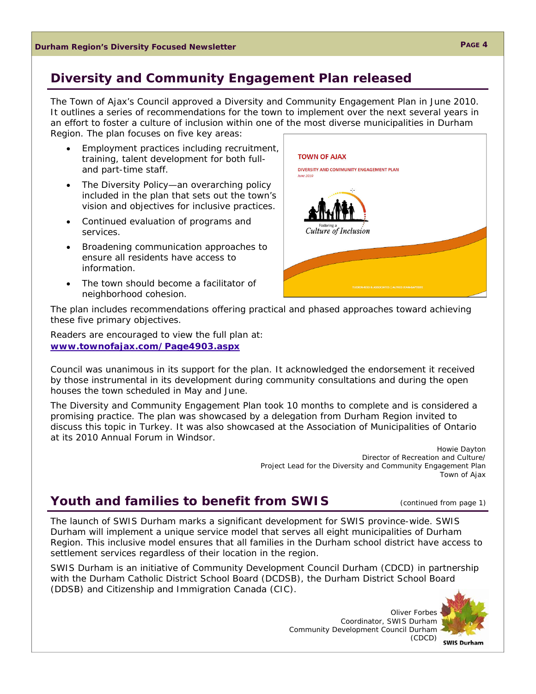#### **Diversity and Community Engagement Plan released**

The Town of Ajax's Council approved a Diversity and Community Engagement Plan in June 2010. It outlines a series of recommendations for the town to implement over the next several years in an effort to foster a culture of inclusion within one of the most diverse municipalities in Durham Region. The plan focuses on five key areas:

- Employment practices including recruitment, training, talent development for both fulland part-time staff.
- The Diversity Policy—an overarching policy included in the plan that sets out the town's vision and objectives for inclusive practices.
- Continued evaluation of programs and services.
- Broadening communication approaches to ensure all residents have access to information.
- The town should become a facilitator of neighborhood cohesion.



The plan includes recommendations offering practical and phased approaches toward achieving these five primary objectives.

Readers are encouraged to view the full plan at: **www.townofajax.com/Page4903.aspx**

Council was unanimous in its support for the plan. It acknowledged the endorsement it received by those instrumental in its development during community consultations and during the open houses the town scheduled in May and June.

The Diversity and Community Engagement Plan took 10 months to complete and is considered a promising practice. The plan was showcased by a delegation from Durham Region invited to discuss this topic in Turkey. It was also showcased at the Association of Municipalities of Ontario at its 2010 Annual Forum in Windsor.

> *Howie Dayton Director of Recreation and Culture/ Project Lead for the Diversity and Community Engagement Plan Town of Ajax*

#### **Youth and families to benefit from SWIS** (*continued from page 1)*

The launch of SWIS Durham marks a significant development for SWIS province-wide. SWIS Durham will implement a unique service model that serves all eight municipalities of Durham Region. This inclusive model ensures that all families in the Durham school district have access to settlement services regardless of their location in the region.

SWIS Durham is an initiative of Community Development Council Durham (CDCD) in partnership with the Durham Catholic District School Board (DCDSB), the Durham District School Board (DDSB) and Citizenship and Immigration Canada (CIC).

> *Oliver Forbes Coordinator, SWIS Durham Community Development Council Durham (CDCD)*



**PAGE 4** 

**SWIS Durham**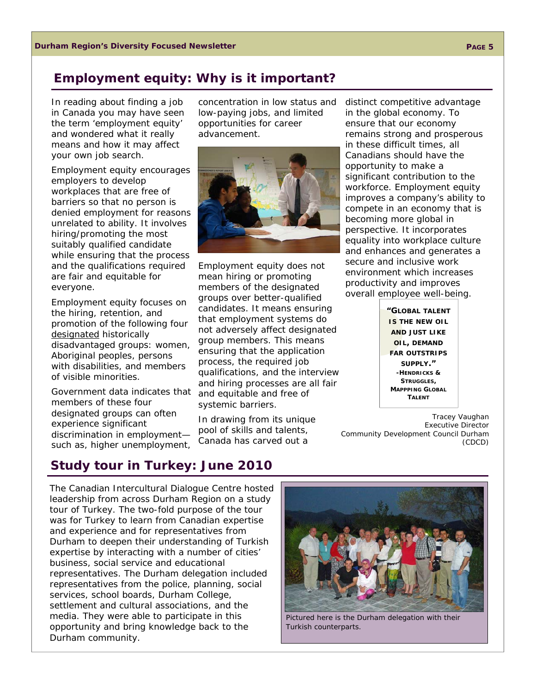#### **Employment equity: Why is it important?**

In reading about finding a job in Canada you may have seen the term 'employment equity' and wondered what it really means and how it may affect your own job search.

Employment equity encourages employers to develop workplaces that are free of barriers so that no person is denied employment for reasons unrelated to ability. It involves hiring/promoting the most suitably qualified candidate while ensuring that the process and the qualifications required are fair and equitable for everyone.

Employment equity focuses on the hiring, retention, and promotion of the following four designated historically disadvantaged groups: women, Aboriginal peoples, persons with disabilities, and members of visible minorities.

Government data indicates that members of these four designated groups can often experience significant discrimination in employment such as, higher unemployment,

advancement.



concentration in low status and low-paying jobs, and limited opportunities for career

Employment equity does not mean hiring or promoting members of the designated groups over better-qualified candidates. It means ensuring that employment systems do not adversely affect designated group members. This means ensuring that the application process, the required job qualifications, and the interview and hiring processes are all fair and equitable and free of systemic barriers.

In drawing from its unique pool of skills and talents, Canada has carved out a

distinct competitive advantage in the global economy. To ensure that our economy remains strong and prosperous in these difficult times, all Canadians should have the opportunity to make a significant contribution to the workforce. Employment equity improves a company's ability to compete in an economy that is becoming more global in perspective. It incorporates equality into workplace culture and enhances and generates a secure and inclusive work environment which increases productivity and improves overall employee well-being.

> **"GLOBAL TALENT IS THE NEW OIL AND JUST LIKE OIL, DEMAND FAR OUTSTRIPS SUPPLY." -HENDRICKS & STRUGGLES, MAPPPING GLOBAL TALENT**

*Tracey Vaughan Executive Director Community Development Council Durham (CDCD)* 

# **Study tour in Turkey: June 2010**

The Canadian Intercultural Dialogue Centre hosted leadership from across Durham Region on a study tour of Turkey. The two-fold purpose of the tour was for Turkey to learn from Canadian expertise and experience and for representatives from Durham to deepen their understanding of Turkish expertise by interacting with a number of cities' business, social service and educational representatives. The Durham delegation included representatives from the police, planning, social services, school boards, Durham College, settlement and cultural associations, and the media. They were able to participate in this opportunity and bring knowledge back to the Durham community.



Pictured here is the Durham delegation with their Turkish counterparts.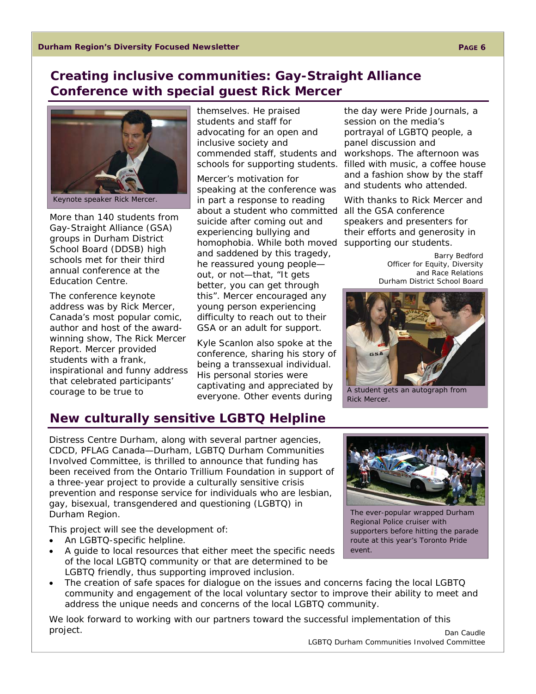#### **Creating inclusive communities: Gay-Straight Alliance Conference with special guest Rick Mercer**



More than 140 students from Gay-Straight Alliance (GSA) groups in Durham District School Board (DDSB) high schools met for their third annual conference at the Education Centre.

The conference keynote address was by Rick Mercer, Canada's most popular comic, author and host of the awardwinning show, The Rick Mercer Report. Mercer provided students with a frank, inspirational and funny address that celebrated participants' courage to be true to

themselves. He praised students and staff for advocating for an open and inclusive society and commended staff, students and

Mercer's motivation for speaking at the conference was in part a response to reading about a student who committed suicide after coming out and experiencing bullying and homophobia. While both moved supporting our students. and saddened by this tragedy, he reassured young people out, or not—that, "It gets better, you can get through this". Mercer encouraged any young person experiencing difficulty to reach out to their GSA or an adult for support.

Kyle Scanlon also spoke at the conference, sharing his story of being a transsexual individual. His personal stories were captivating and appreciated by everyone. Other events during

schools for supporting students. filled with music, a coffee house the day were Pride Journals, a session on the media's portrayal of LGBTQ people, a panel discussion and workshops. The afternoon was and a fashion show by the staff and students who attended.

> With thanks to Rick Mercer and all the GSA conference speakers and presenters for their efforts and generosity in

> > *Barry Bedford Officer for Equity, Diversity and Race Relations Durham District School Board*



A student gets an autograph from Rick Mercer.

# **New culturally sensitive LGBTQ Helpline**

Distress Centre Durham, along with several partner agencies, CDCD, PFLAG Canada—Durham, LGBTQ Durham Communities Involved Committee, is thrilled to announce that funding has been received from the Ontario Trillium Foundation in support of a three-year project to provide a culturally sensitive crisis prevention and response service for individuals who are lesbian, gay, bisexual, transgendered and questioning (LGBTQ) in Durham Region.

This project will see the development of:

- An LGBTQ-specific helpline.
- A guide to local resources that either meet the specific needs of the local LGBTQ community or that are determined to be LGBTQ friendly, thus supporting improved inclusion.



The ever-popular wrapped Durham Regional Police cruiser with supporters before hitting the parade route at this year's Toronto Pride event.

 The creation of safe spaces for dialogue on the issues and concerns facing the local LGBTQ community and engagement of the local voluntary sector to improve their ability to meet and address the unique needs and concerns of the local LGBTQ community.

We look forward to working with our partners toward the successful implementation of this project.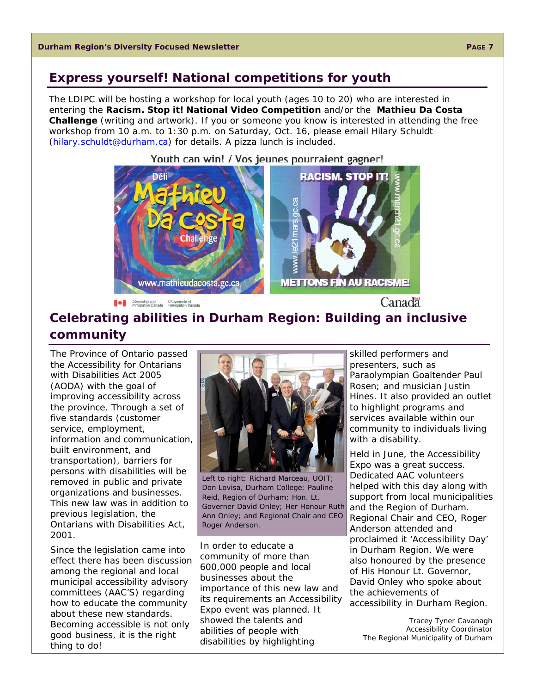#### **Express yourself! National competitions for youth**

The LDIPC will be hosting a workshop for local youth (ages 10 to 20) who are interested in entering the **Racism. Stop it! National Video Competition** and/or the **Mathieu Da Costa Challenge** (writing and artwork). If you or someone you know is interested in attending the free workshop from 10 a.m. to 1:30 p.m. on Saturday, Oct. 16, please email Hilary Schuldt (hilary.schuldt@durham.ca) for details. A pizza lunch is included.



Citizenship and Citoyennete et Immigration Canada

Canada

### **Celebrating abilities in Durham Region: Building an inclusive community**

The Province of Ontario passed the *Accessibility for Ontarians with Disabilities Act* 2005 (AODA) with the goal of improving accessibility across the province. Through a set of five standards (customer service, employment, information and communication, built environment, and transportation), barriers for persons with disabilities will be removed in public and private organizations and businesses. This new law was in addition to previous legislation, the *Ontarians with Disabilities Act*, 2001.

Since the legislation came into effect there has been discussion among the regional and local municipal accessibility advisory committees (AAC'S) regarding how to educate the community about these new standards. Becoming accessible is not only good business, it is the right thing to do!



Left to right: Richard Marceau, UOIT; Don Lovisa, Durham College; Pauline Reid, Region of Durham; Hon. Lt. Governer David Onley; Her Honour Ruth Ann Onley; and Regional Chair and CEO Roger Anderson.

In order to educate a community of more than 600,000 people and local businesses about the importance of this new law and its requirements an Accessibility Expo event was planned. It showed the talents and abilities of people with disabilities by highlighting

skilled performers and presenters, such as Paraolympian Goaltender Paul Rosen; and musician Justin Hines. It also provided an outlet to highlight programs and services available within our community to individuals living with a disability.

Held in June, the Accessibility Expo was a great success. Dedicated AAC volunteers helped with this day along with support from local municipalities and the Region of Durham. Regional Chair and CEO, Roger Anderson attended and proclaimed it 'Accessibility Day' in Durham Region. We were also honoured by the presence of His Honour Lt. Governor, David Onley who spoke about the achievements of accessibility in Durham Region.

> *Tracey Tyner Cavanagh Accessibility Coordinator The Regional Municipality of Durham*